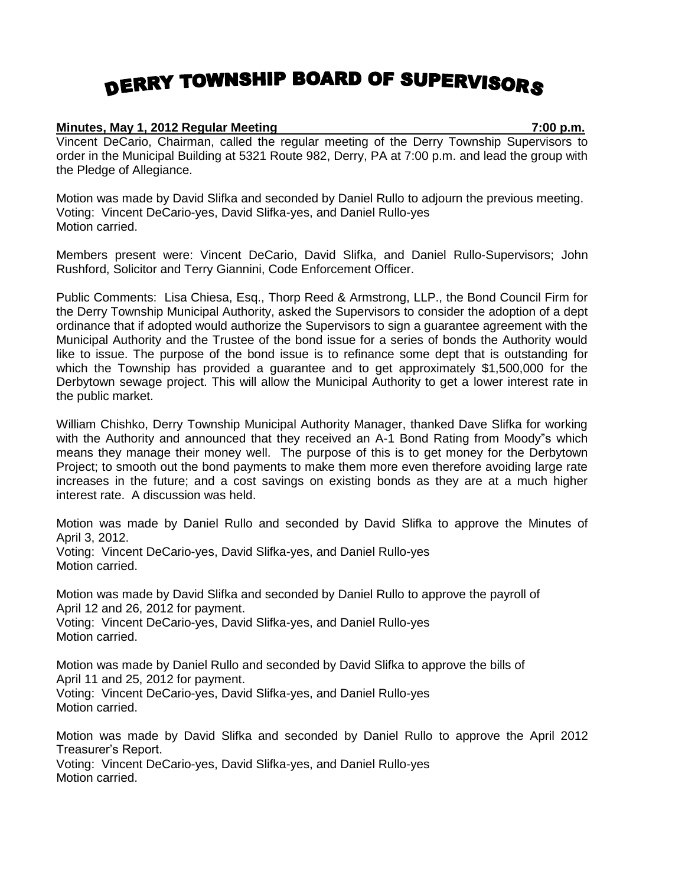## DERRY TOWNSHIP BOARD OF SUPERVISORS

## **Minutes, May 1, 2012 Regular Meeting 7:00 p.m.**

Vincent DeCario, Chairman, called the regular meeting of the Derry Township Supervisors to order in the Municipal Building at 5321 Route 982, Derry, PA at 7:00 p.m. and lead the group with the Pledge of Allegiance.

Motion was made by David Slifka and seconded by Daniel Rullo to adjourn the previous meeting. Voting: Vincent DeCario-yes, David Slifka-yes, and Daniel Rullo-yes Motion carried.

Members present were: Vincent DeCario, David Slifka, and Daniel Rullo-Supervisors; John Rushford, Solicitor and Terry Giannini, Code Enforcement Officer.

Public Comments: Lisa Chiesa, Esq., Thorp Reed & Armstrong, LLP., the Bond Council Firm for the Derry Township Municipal Authority, asked the Supervisors to consider the adoption of a dept ordinance that if adopted would authorize the Supervisors to sign a guarantee agreement with the Municipal Authority and the Trustee of the bond issue for a series of bonds the Authority would like to issue. The purpose of the bond issue is to refinance some dept that is outstanding for which the Township has provided a guarantee and to get approximately \$1,500,000 for the Derbytown sewage project. This will allow the Municipal Authority to get a lower interest rate in the public market.

William Chishko, Derry Township Municipal Authority Manager, thanked Dave Slifka for working with the Authority and announced that they received an A-1 Bond Rating from Moody"s which means they manage their money well. The purpose of this is to get money for the Derbytown Project; to smooth out the bond payments to make them more even therefore avoiding large rate increases in the future; and a cost savings on existing bonds as they are at a much higher interest rate. A discussion was held.

Motion was made by Daniel Rullo and seconded by David Slifka to approve the Minutes of April 3, 2012. Voting: Vincent DeCario-yes, David Slifka-yes, and Daniel Rullo-yes Motion carried.

Motion was made by David Slifka and seconded by Daniel Rullo to approve the payroll of April 12 and 26, 2012 for payment. Voting: Vincent DeCario-yes, David Slifka-yes, and Daniel Rullo-yes Motion carried.

Motion was made by Daniel Rullo and seconded by David Slifka to approve the bills of April 11 and 25, 2012 for payment. Voting: Vincent DeCario-yes, David Slifka-yes, and Daniel Rullo-yes Motion carried.

Motion was made by David Slifka and seconded by Daniel Rullo to approve the April 2012 Treasurer's Report. Voting: Vincent DeCario-yes, David Slifka-yes, and Daniel Rullo-yes Motion carried.